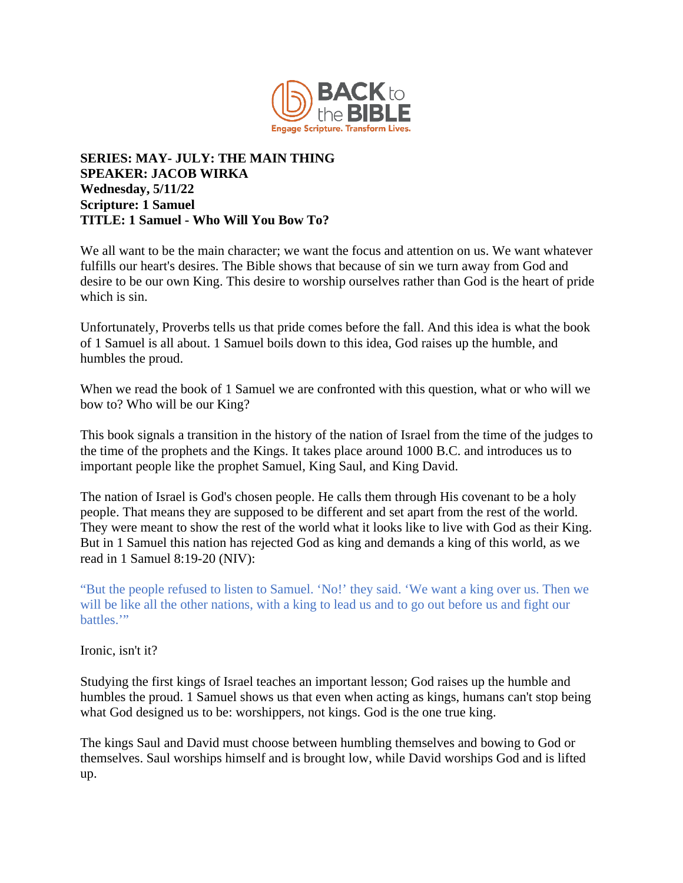

## **SERIES: MAY- JULY: THE MAIN THING SPEAKER: JACOB WIRKA Wednesday, 5/11/22 Scripture: 1 Samuel TITLE: 1 Samuel - Who Will You Bow To?**

We all want to be the main character; we want the focus and attention on us. We want whatever fulfills our heart's desires. The Bible shows that because of sin we turn away from God and desire to be our own King. This desire to worship ourselves rather than God is the heart of pride which is sin.

Unfortunately, Proverbs tells us that pride comes before the fall. And this idea is what the book of 1 Samuel is all about. 1 Samuel boils down to this idea, God raises up the humble, and humbles the proud.

When we read the book of 1 Samuel we are confronted with this question, what or who will we bow to? Who will be our King?

This book signals a transition in the history of the nation of Israel from the time of the judges to the time of the prophets and the Kings. It takes place around 1000 B.C. and introduces us to important people like the prophet Samuel, King Saul, and King David.

The nation of Israel is God's chosen people. He calls them through His covenant to be a holy people. That means they are supposed to be different and set apart from the rest of the world. They were meant to show the rest of the world what it looks like to live with God as their King. But in 1 Samuel this nation has rejected God as king and demands a king of this world, as we read in 1 Samuel 8:19-20 (NIV):

"But the people refused to listen to Samuel. 'No!' they said. 'We want a king over us. Then we will be like all the other nations, with a king to lead us and to go out before us and fight our battles."

Ironic, isn't it?

Studying the first kings of Israel teaches an important lesson; God raises up the humble and humbles the proud. 1 Samuel shows us that even when acting as kings, humans can't stop being what God designed us to be: worshippers, not kings. God is the one true king.

The kings Saul and David must choose between humbling themselves and bowing to God or themselves. Saul worships himself and is brought low, while David worships God and is lifted up.